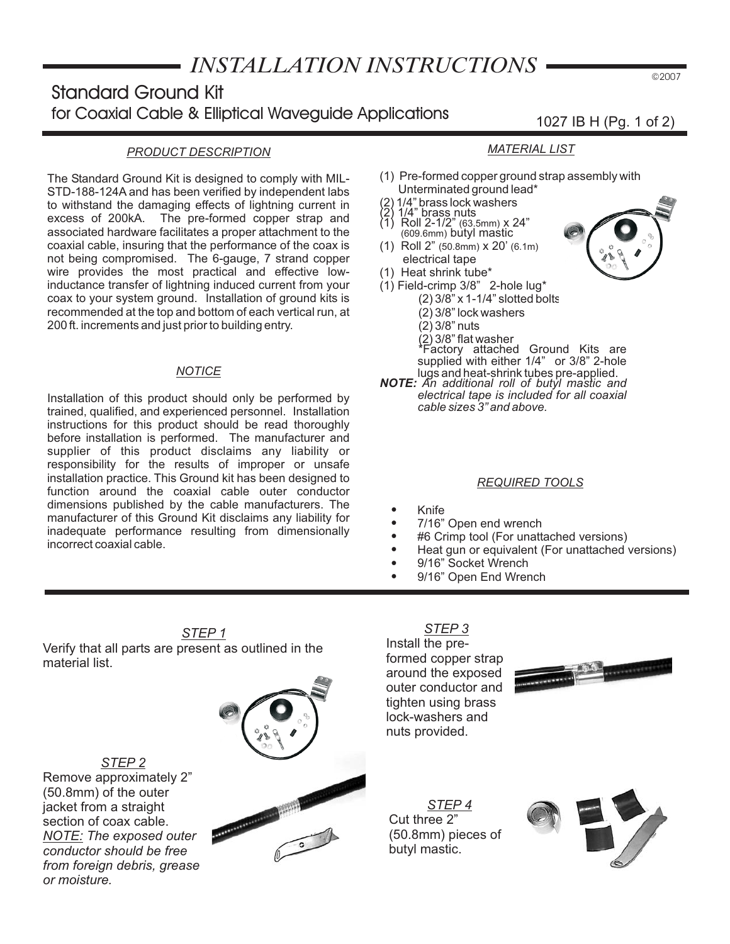# *INSTALLATION INSTRUCTIONS*

# **Standard Ground Kit for Coaxial Cable & Elliptical Waveguide Applications**

#### *PRODUCT DESCRIPTION*

The Standard Ground Kit is designed to comply with MIL-STD-188-124A and has been verified by independent labs to withstand the damaging effects of lightning current in excess of 200kA. The pre-formed copper strap and associated hardware facilitates a proper attachment to the coaxial cable, insuring that the performance of the coax is not being compromised. The 6-gauge, 7 strand copper wire provides the most practical and effective lowinductance transfer of lightning induced current from your coax to your system ground. Installation of ground kits is recommended at the top and bottom of each vertical run, at 200 ft. increments and just prior to building entry.

#### *NOTICE*

Installation of this product should only be performed by trained, qualified, and experienced personnel. Installation instructions for this product should be read thoroughly before installation is performed. The manufacturer and supplier of this product disclaims any liability or responsibility for the results of improper or unsafe installation practice. This Ground kit has been designed to function around the coaxial cable outer conductor dimensions published by the cable manufacturers. The manufacturer of this Ground Kit disclaims any liability for inadequate performance resulting from dimensionally incorrect coaxial cable.

#### *MATERIAL LIST*

- (1) Pre-formed copper ground strap assembly with Unterminated ground lead\*
- (2) 1/4" brass lock washers
- (2) 1/4" brass nuts
- Roll 2-1/2" (63.5mm) x 24" (609.6mm) bùtyl maśtic (1)
- (1) Roll 2" (50.8mm) x 20' (6.1m) electrical tape
- (1) Heat shrink tube\*
- $(1)$  Field-crimp 3/8" 2-hole lug\* (2) 3/8" x 1-1/4" slotted bolts (2) 3/8" lock washers (2) 3/8" nuts
	-
	- (2) 3/8" flat washer \*Factory attached Ground Kits are supplied with either 1/4" or 3/8" 2-hole
- lugs and heat-shrink tubes pre-applied. *NOTE: An additional roll of butyl mastic and electrical tape is included for all coaxial cable sizes 3" and above.*

#### *REQUIRED TOOLS*

- $\bullet$ Knife
- $\bullet$ 7/16" Open end wrench
- $\bullet$ #6 Crimp tool (For unattached versions)
- $\bullet$ Heat gun or equivalent (For unattached versions)
- $\bullet$ 9/16" Socket Wrench
- $\bullet$ 9/16" Open End Wrench

*STEP 1* Verify that all parts are present as outlined in the material list.

*STEP 2 NOTE: The exposed outer* Remove approximately 2" (50.8mm) of the outer jacket from a straight section of coax cable. *conductor should be free from foreign debris, grease or moisture.*



#### *STEP 3* Install the preformed copper strap around the exposed outer conductor and tighten using brass lock-washers and nuts provided.



*STEP 4* Cut three 2" (50.8mm) pieces of butyl mastic.



©2007



1027 IB H (Pg. 1 of 2)